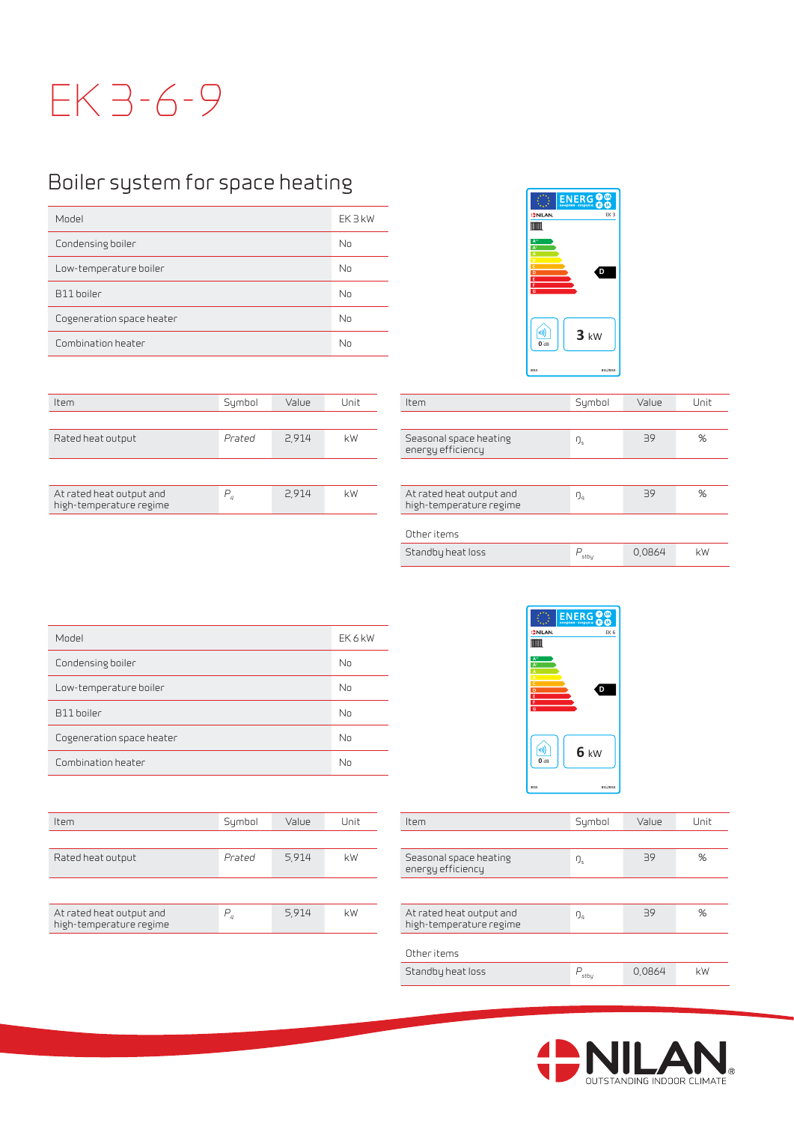## EK 3-6-9

## Boiler system for space heating

| Model                     | EK 3 kW |
|---------------------------|---------|
| Condensing boiler         | No      |
| Low-temperature boiler    | No      |
| B11 boiler                | No      |
| Cogeneration space heater | No      |
| Combination heater        | No      |

| Item                                                | Sumbol | Value | Unit | Item                                                | Sumbol | Value | Unit |
|-----------------------------------------------------|--------|-------|------|-----------------------------------------------------|--------|-------|------|
|                                                     |        |       |      |                                                     |        |       |      |
| Rated heat output                                   | Prated | 2,914 | kW   | Seasonal space heating<br>energy efficiency         | ŋ,     | 39    | %    |
|                                                     |        |       |      |                                                     |        |       |      |
| At rated heat output and<br>high-temperature regime |        | 2,914 | kW   | At rated heat output and<br>high-temperature regime | $D_4$  | 39    | %    |



| Item                                                | Symbol    | Value  | Unit |
|-----------------------------------------------------|-----------|--------|------|
|                                                     |           |        |      |
| Seasonal space heating<br>energy efficiency         | ŋ,        | 39     | %    |
|                                                     |           |        |      |
| At rated heat output and<br>high-temperature regime | ŋ,        | 39     | %    |
| Other items                                         |           |        |      |
|                                                     |           |        |      |
| Standby heat loss                                   | D<br>stbu | 0,0864 | kW   |

| Model                     | EK 6 kW |
|---------------------------|---------|
| Condensing boiler         | No      |
| Low-temperature boiler    | No      |
| B11 boiler                | No      |
| Cogeneration space heater | No      |
| Combination heater        | No      |

| Unit<br>Unit<br>Sumbol<br>Value<br>Item                                                  | Value | Sumbol  | Item                                                |
|------------------------------------------------------------------------------------------|-------|---------|-----------------------------------------------------|
|                                                                                          |       |         |                                                     |
| %<br>kW<br>39<br>Seasonal space heating<br>ŋ,<br>energy efficiency                       | 5,914 | Prated  | Rated heat output                                   |
|                                                                                          |       |         |                                                     |
| %<br>kW<br>39<br>At rated heat output and<br>$\mathfrak{g}_4$<br>high-temperature regime | 5,914 | $P_{a}$ | At rated heat output and<br>high-temperature regime |
|                                                                                          |       |         |                                                     |



| Item                                                | Symbol           | Value  | Unit |
|-----------------------------------------------------|------------------|--------|------|
|                                                     |                  |        |      |
| Seasonal space heating<br>energy efficiency         | ŋ,               | 39     | %    |
|                                                     |                  |        |      |
| At rated heat output and<br>high-temperature regime | $\mathfrak{g}_4$ | 39     | %    |
| Other items                                         |                  |        |      |
| Standby heat loss                                   | P<br>stbu        | 0,0864 | kW   |
|                                                     |                  |        |      |